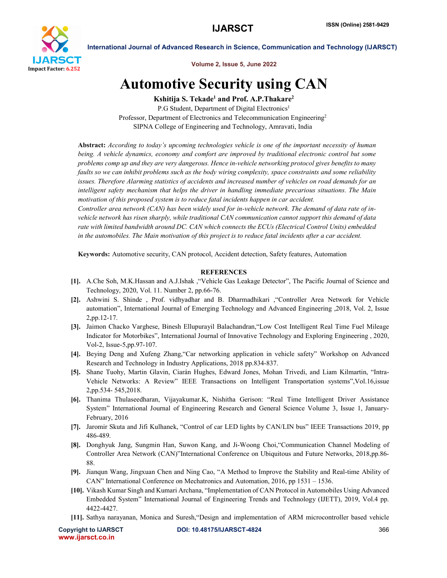

International Journal of Advanced Research in Science, Communication and Technology (IJARSCT)

Volume 2, Issue 5, June 2022

## Automotive Security using CAN

Kshitija S. Tekade<sup>1</sup> and Prof. A.P. Thakare<sup>2</sup>

P.G Student, Department of Digital Electronics<sup>1</sup> Professor, Department of Electronics and Telecommunication Engineering2 SIPNA College of Engineering and Technology, Amravati, India

Abstract: *According to today's upcoming technologies vehicle is one of the important necessity of human being. A vehicle dynamics, economy and comfort are improved by traditional electronic control but some problems comp up and they are very dangerous. Hence in-vehicle networking protocol gives benefits to many faults so we can inhibit problems such as the body wiring complexity, space constraints and some reliability issues. Therefore Alarming statistics of accidents and increased number of vehicles on road demands for an intelligent safety mechanism that helps the driver in handling immediate precarious situations. The Main motivation of this proposed system is to reduce fatal incidents happen in car accident.* 

*Controller area network (CAN) has been widely used for in-vehicle network. The demand of data rate of invehicle network has risen sharply, while traditional CAN communication cannot support this demand of data rate with limited bandwidth around DC. CAN which connects the ECUs (Electrical Control Units) embedded in the automobiles. The Main motivation of this project is to reduce fatal incidents after a car accident.*

Keywords: Automotive security, CAN protocol, Accident detection, Safety features, Automation

## **REFERENCES**

- [1]. A.Che Soh, M.K.Hassan and A.J.Ishak ,"Vehicle Gas Leakage Detector", The Pacific Journal of Science and Technology, 2020, Vol. 11. Number 2, pp.66-76.
- [2]. Ashwini S. Shinde , Prof. vidhyadhar and B. Dharmadhikari ,"Controller Area Network for Vehicle automation", International Journal of Emerging Technology and Advanced Engineering ,2018, Vol. 2, Issue 2,pp.12-17.
- [3]. Jaimon Chacko Varghese, Binesh Ellupurayil Balachandran,"Low Cost Intelligent Real Time Fuel Mileage Indicator for Motorbikes", International Journal of Innovative Technology and Exploring Engineering , 2020, Vol-2, Issue-5,pp.97-107.
- [4]. Beying Deng and Xufeng Zhang,"Car networking application in vehicle safety" Workshop on Advanced Research and Technology in Industry Applications, 2018 pp.834-837.
- [5]. Shane Tuohy, Martin Glavin, Ciarán Hughes, Edward Jones, Mohan Trivedi, and Liam Kilmartin, "Intra-Vehicle Networks: A Review" IEEE Transactions on Intelligent Transportation systems",Vol.16,issue 2,pp.534- 545,2018.
- [6]. Thanima Thulaseedharan, Vijayakumar.K, Nishitha Gerison: "Real Time Intelligent Driver Assistance System" International Journal of Engineering Research and General Science Volume 3, Issue 1, January-February, 2016
- [7]. Jaromir Skuta and Jifi Kulhanek, "Control of car LED lights by CAN/LIN bus" IEEE Transactions 2019, pp 486-489.
- [8]. Donghyuk Jang, Sungmin Han, Suwon Kang, and Ji-Woong Choi,"Communication Channel Modeling of Controller Area Network (CAN)"International Conference on Ubiquitous and Future Networks, 2018,pp.86- 88.
- [9]. Jianqun Wang, Jingxuan Chen and Ning Cao, "A Method to Improve the Stability and Real-time Ability of CAN" International Conference on Mechatronics and Automation, 2016, pp 1531 – 1536.
- [10]. Vikash Kumar Singh and Kumari Archana, "Implementation of CAN Protocol in Automobiles Using Advanced Embedded System" International Journal of Engineering Trends and Technology (IJETT), 2019, Vol.4 pp. 4422-4427.
- [11]. Sathya narayanan, Monica and Suresh,"Design and implementation of ARM microcontroller based vehicle

www.ijarsct.co.in